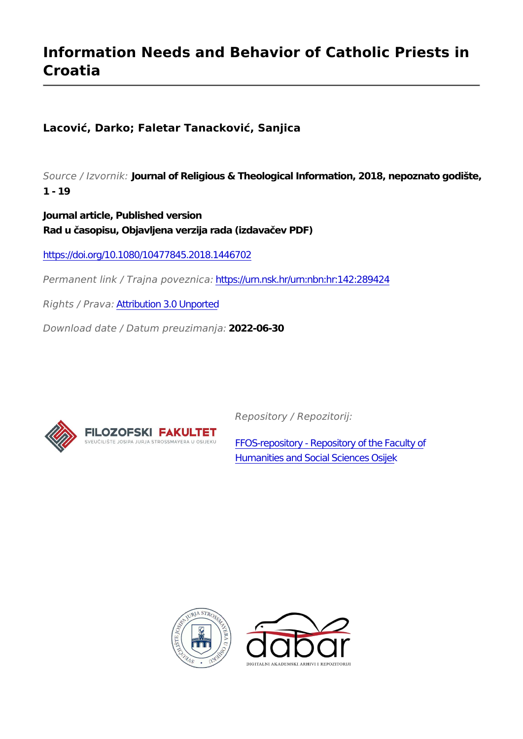## **Information Needs and Behavior of Catholic Priests in Croatia**

**Lacović, Darko; Faletar Tanacković, Sanjica**

*Source / Izvornik:* **Journal of Religious & Theological Information, 2018, nepoznato godište, 1 - 19**

**Journal article, Published version Rad u časopisu, Objavljena verzija rada (izdavačev PDF)**

<https://doi.org/10.1080/10477845.2018.1446702>

*Permanent link / Trajna poveznica:* <https://urn.nsk.hr/urn:nbn:hr:142:289424>

*Rights / Prava:* [Attribution 3.0 Unported](http://creativecommons.org/licenses/by/3.0/)

*Download date / Datum preuzimanja:* **2022-06-30**



*Repository / Repozitorij:*

[FFOS-repository - Repository of the Faculty of](https://repozitorij.ffos.hr) [Humanities and Social Sciences Osijek](https://repozitorij.ffos.hr)



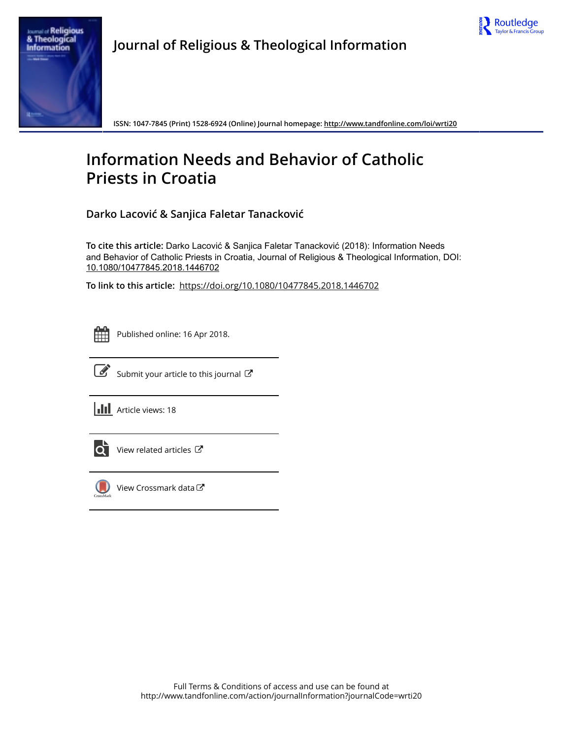

**Journal of Religious**<br>& Theological Information

**Journal of Religious & Theological Information**

**ISSN: 1047-7845 (Print) 1528-6924 (Online) Journal homepage:<http://www.tandfonline.com/loi/wrti20>**

# **Information Needs and Behavior of Catholic Priests in Croatia**

**Darko Lacović & Sanjica Faletar Tanacković**

**To cite this article:** Darko Lacović & Sanjica Faletar Tanacković (2018): Information Needs and Behavior of Catholic Priests in Croatia, Journal of Religious & Theological Information, DOI: [10.1080/10477845.2018.1446702](http://www.tandfonline.com/action/showCitFormats?doi=10.1080/10477845.2018.1446702)

**To link to this article:** <https://doi.org/10.1080/10477845.2018.1446702>

Published online: 16 Apr 2018.



 $\overrightarrow{S}$  [Submit your article to this journal](http://www.tandfonline.com/action/authorSubmission?journalCode=wrti20&show=instructions)  $\overrightarrow{S}$ 

**III** Article views: 18



 $\overline{Q}$  [View related articles](http://www.tandfonline.com/doi/mlt/10.1080/10477845.2018.1446702)  $\overline{C}$ 



[View Crossmark data](http://crossmark.crossref.org/dialog/?doi=10.1080/10477845.2018.1446702&domain=pdf&date_stamp=2018-04-16)  $\sigma$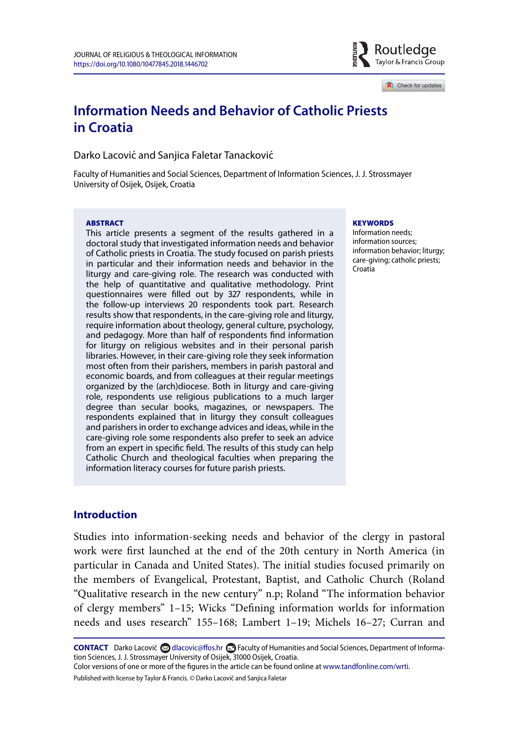

Check for updates

## **Information Needs and Behavior of Catholic Priests in Croatia**

Darko Lacović and Sanjica Faletar Tanacković

Faculty of Humanities and Social Sciences, Department of Information Sciences, J. J. Strossmayer University of Osijek, Osijek, Croatia

#### **ABSTRACT**

This article presents a segment of the results gathered in a doctoral study that investigated information needs and behavior of Catholic priests in Croatia. The study focused on parish priests in particular and their information needs and behavior in the liturgy and care-giving role. The research was conducted with the help of quantitative and qualitative methodology. Print questionnaires were filled out by 327 respondents, while in the follow-up interviews 20 respondents took part. Research results show that respondents, in the care-giving role and liturgy, require information about theology, general culture, psychology, and pedagogy. More than half of respondents find information for liturgy on religious websites and in their personal parish libraries. However, in their care-giving role they seek information most often from their parishers, members in parish pastoral and economic boards, and from colleagues at their regular meetings organized by the (arch)diocese. Both in liturgy and care-giving role, respondents use religious publications to a much larger degree than secular books, magazines, or newspapers. The respondents explained that in liturgy they consult colleagues and parishers in order to exchange advices and ideas, while in the care-giving role some respondents also prefer to seek an advice from an expert in specific field. The results of this study can help Catholic Church and theological faculties when preparing the information literacy courses for future parish priests.

#### **KEYWORDS**

Information needs; information sources; information behavior; liturgy; care-giving; catholic priests; Croatia

## **Introduction**

Studies into information-seeking needs and behavior of the clergy in pastoral work were first launched at the end of the 20th century in North America (in particular in Canada and United States). The initial studies focused primarily on the members of Evangelical, Protestant, Baptist, and Catholic Church (Roland "Qualitative research in the new century" n.p; Roland "The information behavior of clergy members" 1–15; Wicks "Defining information worlds for information needs and uses research" 155–168; Lambert 1–19; Michels 16–27; Curran and

Color versions of one or more of the figures in the article can be found online at [www.tandfonline.com/wrti.](http://www.tandfonline.com/wrti) Published with license by Taylor & Francis. © Darko Lacović and Sanjica Faletar

**CONTACT** Darko Lacović **&** [dlacovic@ffos.hr](mailto:dlacovic@ffos.hr) **B** Faculty of Humanities and Social Sciences, Department of Information Sciences, J. J. Strossmayer University of Osijek, 31000 Osijek, Croatia.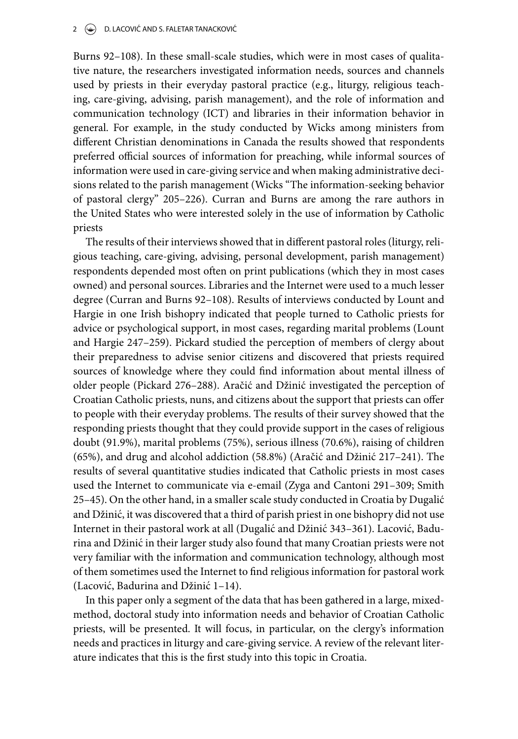Burns 92–108). In these small-scale studies, which were in most cases of qualitative nature, the researchers investigated information needs, sources and channels used by priests in their everyday pastoral practice (e.g., liturgy, religious teaching, care-giving, advising, parish management), and the role of information and communication technology (ICT) and libraries in their information behavior in general. For example, in the study conducted by Wicks among ministers from different Christian denominations in Canada the results showed that respondents preferred official sources of information for preaching, while informal sources of information were used in care-giving service and when making administrative decisions related to the parish management (Wicks "The information-seeking behavior of pastoral clergy" 205–226). Curran and Burns are among the rare authors in the United States who were interested solely in the use of information by Catholic priests

The results of their interviews showed that in different pastoral roles (liturgy, religious teaching, care-giving, advising, personal development, parish management) respondents depended most often on print publications (which they in most cases owned) and personal sources. Libraries and the Internet were used to a much lesser degree (Curran and Burns 92–108). Results of interviews conducted by Lount and Hargie in one Irish bishopry indicated that people turned to Catholic priests for advice or psychological support, in most cases, regarding marital problems (Lount and Hargie 247–259). Pickard studied the perception of members of clergy about their preparedness to advise senior citizens and discovered that priests required sources of knowledge where they could find information about mental illness of older people (Pickard 276–288). Aractic and Džinic investigated the perception of Croatian Catholic priests, nuns, and citizens about the support that priests can offer to people with their everyday problems. The results of their survey showed that the responding priests thought that they could provide support in the cases of religious doubt (91.9%), marital problems (75%), serious illness (70.6%), raising of children (65%), and drug and alcohol addiction (58.8%) (Aračić and Džinić  $217-241$ ). The results of several quantitative studies indicated that Catholic priests in most cases used the Internet to communicate via e-email (Zyga and Cantoni 291–309; Smith 25–45). On the other hand, in a smaller scale study conducted in Croatia by Dugalic´ and Džinić, it was discovered that a third of parish priest in one bishopry did not use Internet in their pastoral work at all (Dugalić and Džinić 343–361). Lacović, Badurina and Džinić in their larger study also found that many Croatian priests were not very familiar with the information and communication technology, although most of them sometimes used the Internet to find religious information for pastoral work (Lacović, Badurina and Džinić  $1-14$ ).

In this paper only a segment of the data that has been gathered in a large, mixedmethod, doctoral study into information needs and behavior of Croatian Catholic priests, will be presented. It will focus, in particular, on the clergy's information needs and practices in liturgy and care-giving service. A review of the relevant literature indicates that this is the first study into this topic in Croatia.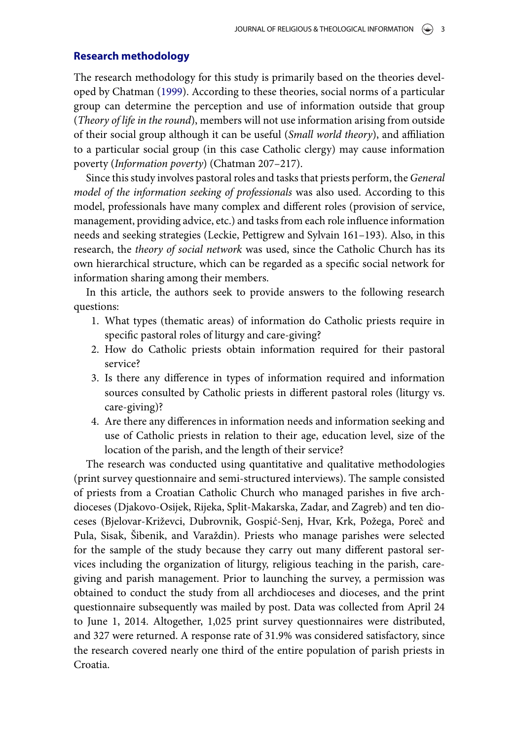#### **Research methodology**

<span id="page-4-0"></span>The research methodology for this study is primarily based on the theories developed by Chatman [\(1999\)](#page-19-0). According to these theories, social norms of a particular group can determine the perception and use of information outside that group (*Theory of life in the round*), members will not use information arising from outside of their social group although it can be useful (*Small world theory*), and affiliation to a particular social group (in this case Catholic clergy) may cause information poverty (*Information poverty*) (Chatman 207–217).

Since this study involves pastoral roles and tasks that priests perform, the *General model of the information seeking of professionals* was also used. According to this model, professionals have many complex and different roles (provision of service, management, providing advice, etc.) and tasks from each role influence information needs and seeking strategies (Leckie, Pettigrew and Sylvain 161–193). Also, in this research, the *theory of social network* was used, since the Catholic Church has its own hierarchical structure, which can be regarded as a specific social network for information sharing among their members.

In this article, the authors seek to provide answers to the following research questions:

- 1. What types (thematic areas) of information do Catholic priests require in specific pastoral roles of liturgy and care-giving?
- 2. How do Catholic priests obtain information required for their pastoral service?
- 3. Is there any difference in types of information required and information sources consulted by Catholic priests in different pastoral roles (liturgy vs. care-giving)?
- 4. Are there any differences in information needs and information seeking and use of Catholic priests in relation to their age, education level, size of the location of the parish, and the length of their service?

The research was conducted using quantitative and qualitative methodologies (print survey questionnaire and semi-structured interviews). The sample consisted of priests from a Croatian Catholic Church who managed parishes in five archdioceses (Djakovo-Osijek, Rijeka, Split-Makarska, Zadar, and Zagreb) and ten dioceses (Bjelovar-Križevci, Dubrovnik, Gospić-Senj, Hvar, Krk, Požega, Poreč and Pula, Sisak, Šibenik, and Varaždin). Priests who manage parishes were selected for the sample of the study because they carry out many different pastoral services including the organization of liturgy, religious teaching in the parish, caregiving and parish management. Prior to launching the survey, a permission was obtained to conduct the study from all archdioceses and dioceses, and the print questionnaire subsequently was mailed by post. Data was collected from April 24 to June 1, 2014. Altogether, 1,025 print survey questionnaires were distributed, and 327 were returned. A response rate of 31.9% was considered satisfactory, since the research covered nearly one third of the entire population of parish priests in Croatia.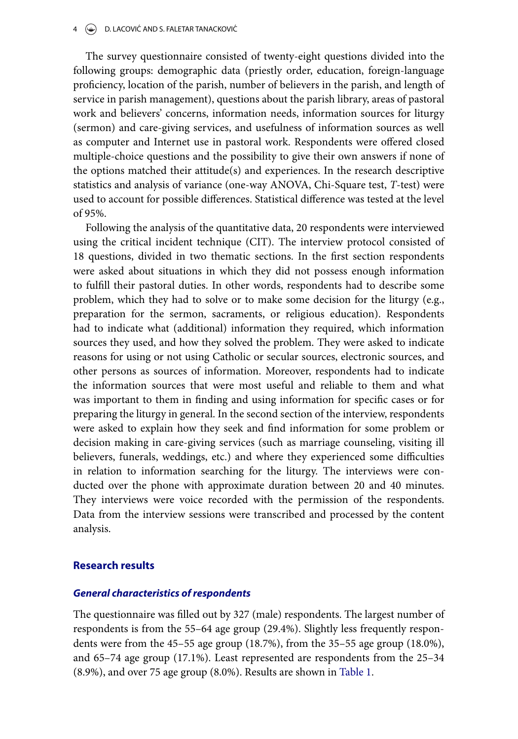#### 4  $\leftrightarrow$  D. LACOVIĆ AND S. FALETAR TANACKOVIĆ

The survey questionnaire consisted of twenty-eight questions divided into the following groups: demographic data (priestly order, education, foreign-language proficiency, location of the parish, number of believers in the parish, and length of service in parish management), questions about the parish library, areas of pastoral work and believers' concerns, information needs, information sources for liturgy (sermon) and care-giving services, and usefulness of information sources as well as computer and Internet use in pastoral work. Respondents were offered closed multiple-choice questions and the possibility to give their own answers if none of the options matched their attitude(s) and experiences. In the research descriptive statistics and analysis of variance (one-way ANOVA, Chi-Square test, *T*-test) were used to account for possible differences. Statistical difference was tested at the level of 95%.

Following the analysis of the quantitative data, 20 respondents were interviewed using the critical incident technique (CIT). The interview protocol consisted of 18 questions, divided in two thematic sections. In the first section respondents were asked about situations in which they did not possess enough information to fulfill their pastoral duties. In other words, respondents had to describe some problem, which they had to solve or to make some decision for the liturgy (e.g., preparation for the sermon, sacraments, or religious education). Respondents had to indicate what (additional) information they required, which information sources they used, and how they solved the problem. They were asked to indicate reasons for using or not using Catholic or secular sources, electronic sources, and other persons as sources of information. Moreover, respondents had to indicate the information sources that were most useful and reliable to them and what was important to them in finding and using information for specific cases or for preparing the liturgy in general. In the second section of the interview, respondents were asked to explain how they seek and find information for some problem or decision making in care-giving services (such as marriage counseling, visiting ill believers, funerals, weddings, etc.) and where they experienced some difficulties in relation to information searching for the liturgy. The interviews were conducted over the phone with approximate duration between 20 and 40 minutes. They interviews were voice recorded with the permission of the respondents. Data from the interview sessions were transcribed and processed by the content analysis.

#### **Research results**

## *General characteristics of respondents*

The questionnaire was filled out by 327 (male) respondents. The largest number of respondents is from the 55–64 age group (29.4%). Slightly less frequently respondents were from the 45–55 age group (18.7%), from the 35–55 age group (18.0%), and 65–74 age group (17.1%). Least represented are respondents from the 25–34 (8.9%), and over 75 age group (8.0%). Results are shown in [Table 1.](#page-6-0)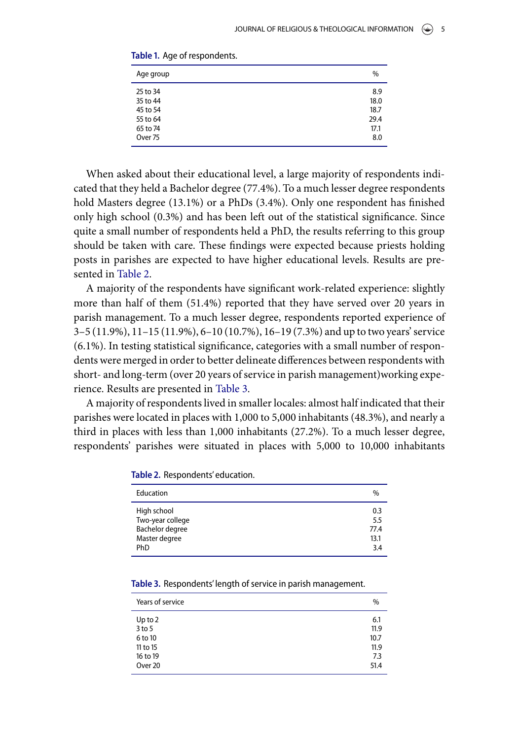| Age group                                                | %                                   |
|----------------------------------------------------------|-------------------------------------|
| 25 to 34<br>35 to 44<br>45 to 54<br>55 to 64<br>65 to 74 | 8.9<br>18.0<br>18.7<br>29.4<br>17.1 |
| Over <sub>75</sub>                                       | 8.0                                 |

<span id="page-6-0"></span>Table 1. Age of respondents.

When asked about their educational level, a large majority of respondents indicated that they held a Bachelor degree (77.4%). To a much lesser degree respondents hold Masters degree (13.1%) or a PhDs (3.4%). Only one respondent has finished only high school (0.3%) and has been left out of the statistical significance. Since quite a small number of respondents held a PhD, the results referring to this group should be taken with care. These findings were expected because priests holding posts in parishes are expected to have higher educational levels. Results are presented in [Table 2.](#page-6-1)

A majority of the respondents have significant work-related experience: slightly more than half of them (51.4%) reported that they have served over 20 years in parish management. To a much lesser degree, respondents reported experience of 3–5 (11.9%), 11–15 (11.9%), 6–10 (10.7%), 16–19 (7.3%) and up to two years' service (6.1%). In testing statistical significance, categories with a small number of respondents were merged in order to better delineate differences between respondents with short- and long-term (over 20 years of service in parish management)working experience. Results are presented in [Table 3.](#page-6-2)

A majority of respondents lived in smaller locales: almost half indicated that their parishes were located in places with 1,000 to 5,000 inhabitants (48.3%), and nearly a third in places with less than 1,000 inhabitants (27.2%). To a much lesser degree, respondents' parishes were situated in places with 5,000 to 10,000 inhabitants

| Education        | $\%$ |
|------------------|------|
| High school      | 0.3  |
| Two-year college | 5.5  |
| Bachelor degree  | 77.4 |
| Master degree    | 13.1 |
| PhD              | 3.4  |

<span id="page-6-1"></span>Table 2. Respondents' education.

<span id="page-6-2"></span>Table 3. Respondents' length of service in parish management.

| Years of service                                                    | %                                          |
|---------------------------------------------------------------------|--------------------------------------------|
| Up to $2$<br>$3$ to 5<br>6 to 10<br>11 to 15<br>16 to 19<br>Over 20 | 6.1<br>11.9<br>10.7<br>11.9<br>7.3<br>51.4 |
|                                                                     |                                            |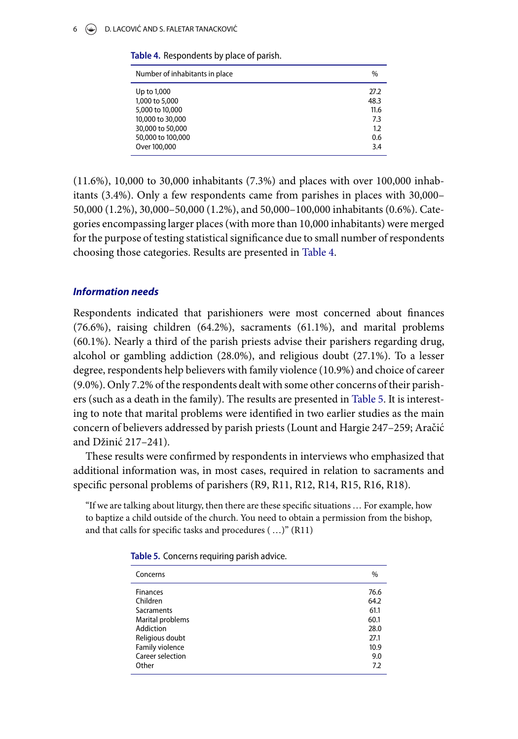#### <span id="page-7-0"></span>6  $\left(\frac{1}{2}\right)$  D. LACOVIĆ AND S. FALETAR TANACKOVIĆ

| Number of inhabitants in place | %    |
|--------------------------------|------|
| Up to 1,000                    | 27.2 |
| 1,000 to 5,000                 | 48.3 |
| 5,000 to 10,000                | 11.6 |
| 10,000 to 30,000               | 7.3  |
| 30,000 to 50,000               | 1.2  |
| 50,000 to 100,000              | 0.6  |
| Over 100,000                   | 3.4  |

Table 4. Respondents by place of parish.

(11.6%), 10,000 to 30,000 inhabitants (7.3%) and places with over 100,000 inhabitants (3.4%). Only a few respondents came from parishes in places with 30,000– 50,000 (1.2%), 30,000–50,000 (1.2%), and 50,000–100,000 inhabitants (0.6%). Categories encompassing larger places (with more than 10,000 inhabitants) were merged for the purpose of testing statistical significance due to small number of respondents choosing those categories. Results are presented in [Table 4.](#page-7-0)

#### *Information needs*

Respondents indicated that parishioners were most concerned about finances (76.6%), raising children (64.2%), sacraments (61.1%), and marital problems (60.1%). Nearly a third of the parish priests advise their parishers regarding drug, alcohol or gambling addiction (28.0%), and religious doubt (27.1%). To a lesser degree, respondents help believers with family violence (10.9%) and choice of career (9.0%). Only 7.2% of the respondents dealt with some other concerns of their parishers (such as a death in the family). The results are presented in [Table 5.](#page-7-1) It is interesting to note that marital problems were identified in two earlier studies as the main concern of believers addressed by parish priests (Lount and Hargie 247-259; Aračić and Džinic 217–241). ´

These results were confirmed by respondents in interviews who emphasized that additional information was, in most cases, required in relation to sacraments and specific personal problems of parishers (R9, R11, R12, R14, R15, R16, R18).

<span id="page-7-1"></span>"If we are talking about liturgy, then there are these specific situations … For example, how to baptize a child outside of the church. You need to obtain a permission from the bishop, and that calls for specific tasks and procedures  $(...)$ " (R11)

| Concerns          | $\frac{0}{0}$ |
|-------------------|---------------|
| <b>Finances</b>   | 76.6          |
| Children          | 64.2          |
| <b>Sacraments</b> | 61.1          |
| Marital problems  | 60.1          |
| Addiction         | 28.0          |
| Religious doubt   | 27.1          |
| Family violence   | 10.9          |
| Career selection  | 9.0           |
| Other             | 7.2           |

Table 5. Concerns requiring parish advice.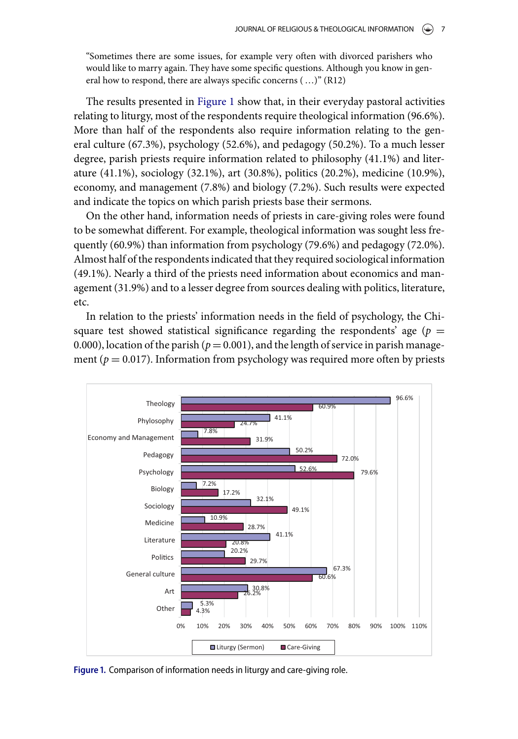"Sometimes there are some issues, for example very often with divorced parishers who would like to marry again. They have some specific questions. Although you know in general how to respond, there are always specific concerns ( …)" (R12)

The results presented in [Figure 1](#page-8-0) show that, in their everyday pastoral activities relating to liturgy, most of the respondents require theological information (96.6%). More than half of the respondents also require information relating to the general culture (67.3%), psychology (52.6%), and pedagogy (50.2%). To a much lesser degree, parish priests require information related to philosophy (41.1%) and literature (41.1%), sociology (32.1%), art (30.8%), politics (20.2%), medicine (10.9%), economy, and management (7.8%) and biology (7.2%). Such results were expected and indicate the topics on which parish priests base their sermons.

On the other hand, information needs of priests in care-giving roles were found to be somewhat different. For example, theological information was sought less frequently (60.9%) than information from psychology (79.6%) and pedagogy (72.0%). Almost half of the respondents indicated that they required sociological information (49.1%). Nearly a third of the priests need information about economics and management (31.9%) and to a lesser degree from sources dealing with politics, literature, etc.

In relation to the priests' information needs in the field of psychology, the Chisquare test showed statistical significance regarding the respondents' age ( $p =$ 0.000), location of the parish ( $p = 0.001$ ), and the length of service in parish management ( $p = 0.017$ ). Information from psychology was required more often by priests

<span id="page-8-0"></span>

Figure 1. Comparison of information needs in liturgy and care-giving role.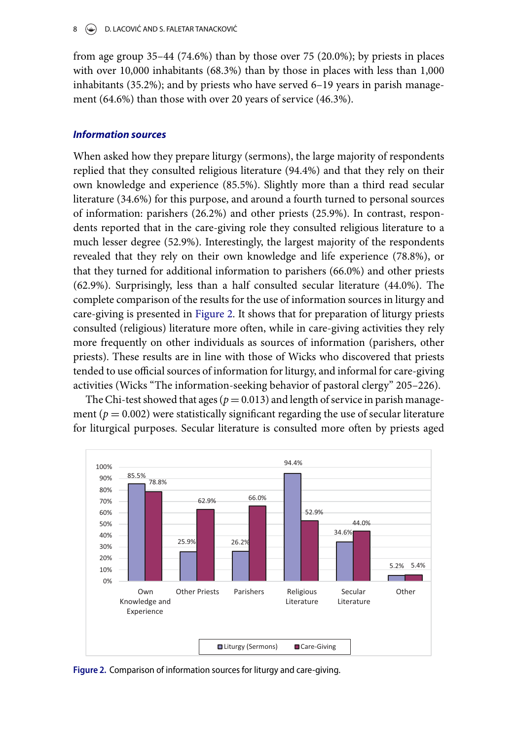from age group 35–44 (74.6%) than by those over 75 (20.0%); by priests in places with over 10,000 inhabitants (68.3%) than by those in places with less than 1,000 inhabitants (35.2%); and by priests who have served 6–19 years in parish management (64.6%) than those with over 20 years of service (46.3%).

## *Information sources*

When asked how they prepare liturgy (sermons), the large majority of respondents replied that they consulted religious literature (94.4%) and that they rely on their own knowledge and experience (85.5%). Slightly more than a third read secular literature (34.6%) for this purpose, and around a fourth turned to personal sources of information: parishers (26.2%) and other priests (25.9%). In contrast, respondents reported that in the care-giving role they consulted religious literature to a much lesser degree (52.9%). Interestingly, the largest majority of the respondents revealed that they rely on their own knowledge and life experience (78.8%), or that they turned for additional information to parishers (66.0%) and other priests (62.9%). Surprisingly, less than a half consulted secular literature (44.0%). The complete comparison of the results for the use of information sources in liturgy and care-giving is presented in [Figure 2.](#page-9-0) It shows that for preparation of liturgy priests consulted (religious) literature more often, while in care-giving activities they rely more frequently on other individuals as sources of information (parishers, other priests). These results are in line with those of Wicks who discovered that priests tended to use official sources of information for liturgy, and informal for care-giving activities (Wicks "The information-seeking behavior of pastoral clergy" 205–226).

The Chi-test showed that ages ( $p = 0.013$ ) and length of service in parish management ( $p = 0.002$ ) were statistically significant regarding the use of secular literature for liturgical purposes. Secular literature is consulted more often by priests aged

<span id="page-9-0"></span>

Figure 2. Comparison of information sources for liturgy and care-giving.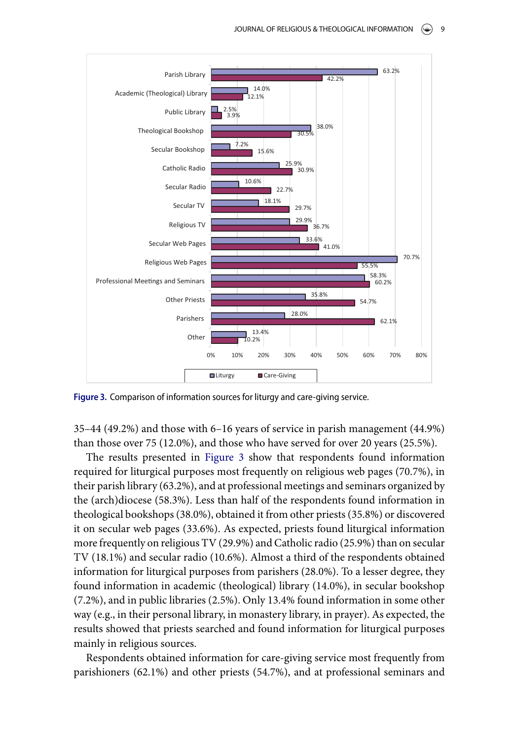<span id="page-10-0"></span>

Figure 3. Comparison of information sources for liturgy and care-giving service.

35–44 (49.2%) and those with 6–16 years of service in parish management (44.9%) than those over 75 (12.0%), and those who have served for over 20 years (25.5%).

The results presented in [Figure 3](#page-10-0) show that respondents found information required for liturgical purposes most frequently on religious web pages (70.7%), in their parish library (63.2%), and at professional meetings and seminars organized by the (arch)diocese (58.3%). Less than half of the respondents found information in theological bookshops (38.0%), obtained it from other priests (35.8%) or discovered it on secular web pages (33.6%). As expected, priests found liturgical information more frequently on religious TV (29.9%) and Catholic radio (25.9%) than on secular TV (18.1%) and secular radio (10.6%). Almost a third of the respondents obtained information for liturgical purposes from parishers (28.0%). To a lesser degree, they found information in academic (theological) library (14.0%), in secular bookshop (7.2%), and in public libraries (2.5%). Only 13.4% found information in some other way (e.g., in their personal library, in monastery library, in prayer). As expected, the results showed that priests searched and found information for liturgical purposes mainly in religious sources.

Respondents obtained information for care-giving service most frequently from parishioners (62.1%) and other priests (54.7%), and at professional seminars and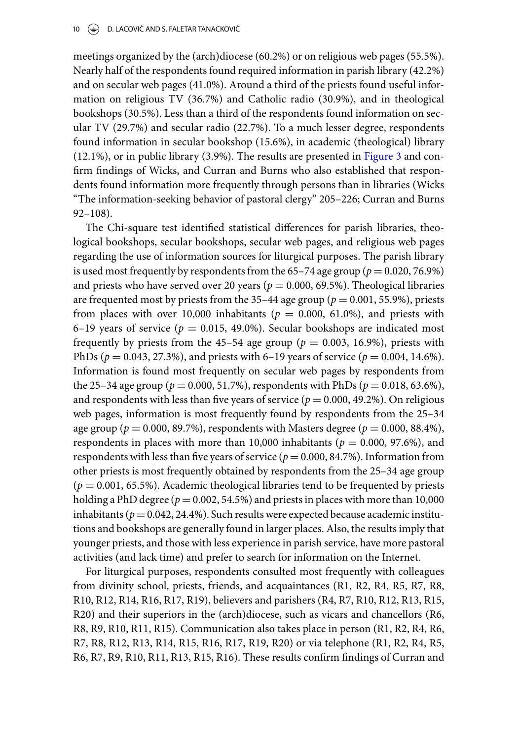meetings organized by the (arch)diocese (60.2%) or on religious web pages (55.5%). Nearly half of the respondents found required information in parish library (42.2%) and on secular web pages (41.0%). Around a third of the priests found useful information on religious TV (36.7%) and Catholic radio (30.9%), and in theological bookshops (30.5%). Less than a third of the respondents found information on secular TV (29.7%) and secular radio (22.7%). To a much lesser degree, respondents found information in secular bookshop (15.6%), in academic (theological) library (12.1%), or in public library (3.9%). The results are presented in [Figure 3](#page-10-0) and confirm findings of Wicks, and Curran and Burns who also established that respondents found information more frequently through persons than in libraries (Wicks "The information-seeking behavior of pastoral clergy" 205–226; Curran and Burns 92–108).

The Chi-square test identified statistical differences for parish libraries, theological bookshops, secular bookshops, secular web pages, and religious web pages regarding the use of information sources for liturgical purposes. The parish library is used most frequently by respondents from the  $65-74$  age group ( $p = 0.020, 76.9\%$ ) and priests who have served over 20 years ( $p = 0.000, 69.5\%$ ). Theological libraries are frequented most by priests from the 35–44 age group ( $p = 0.001, 55.9\%$ ), priests from places with over 10,000 inhabitants ( $p = 0.000, 61.0\%$ ), and priests with 6–19 years of service ( $p = 0.015, 49.0\%$ ). Secular bookshops are indicated most frequently by priests from the 45–54 age group ( $p = 0.003$ , 16.9%), priests with PhDs ( $p = 0.043, 27.3\%$ ), and priests with 6–19 years of service ( $p = 0.004, 14.6\%$ ). Information is found most frequently on secular web pages by respondents from the 25–34 age group ( $p = 0.000, 51.7\%$ ), respondents with PhDs ( $p = 0.018, 63.6\%$ ), and respondents with less than five years of service ( $p = 0.000, 49.2\%$ ). On religious web pages, information is most frequently found by respondents from the 25–34 age group ( $p = 0.000$ , 89.7%), respondents with Masters degree ( $p = 0.000$ , 88.4%), respondents in places with more than 10,000 inhabitants ( $p = 0.000$ , 97.6%), and respondents with less than five years of service ( $p = 0.000, 84.7\%$ ). Information from other priests is most frequently obtained by respondents from the 25–34 age group  $(p = 0.001, 65.5\%)$ . Academic theological libraries tend to be frequented by priests holding a PhD degree ( $p = 0.002, 54.5\%$ ) and priests in places with more than 10,000 inhabitants ( $p=0.042, 24.4\%$ ). Such results were expected because academic institutions and bookshops are generally found in larger places. Also, the results imply that younger priests, and those with less experience in parish service, have more pastoral activities (and lack time) and prefer to search for information on the Internet.

For liturgical purposes, respondents consulted most frequently with colleagues from divinity school, priests, friends, and acquaintances (R1, R2, R4, R5, R7, R8, R10, R12, R14, R16, R17, R19), believers and parishers (R4, R7, R10, R12, R13, R15, R20) and their superiors in the (arch)diocese, such as vicars and chancellors (R6, R8, R9, R10, R11, R15). Communication also takes place in person (R1, R2, R4, R6, R7, R8, R12, R13, R14, R15, R16, R17, R19, R20) or via telephone (R1, R2, R4, R5, R6, R7, R9, R10, R11, R13, R15, R16). These results confirm findings of Curran and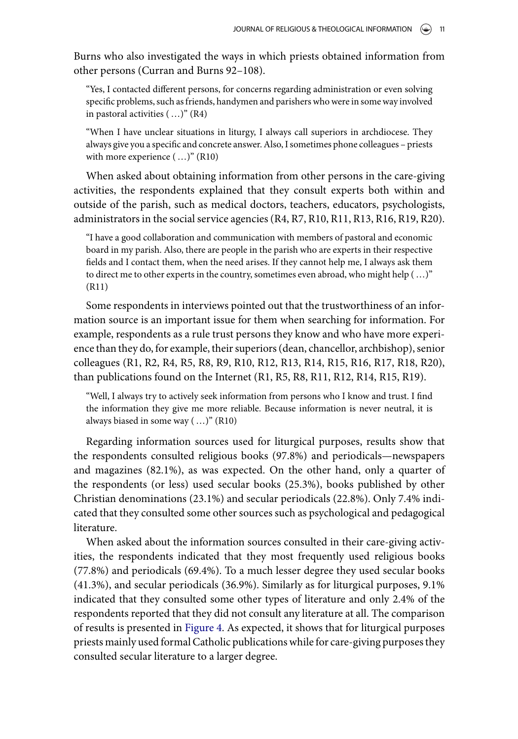Burns who also investigated the ways in which priests obtained information from other persons (Curran and Burns 92–108).

"Yes, I contacted different persons, for concerns regarding administration or even solving specific problems, such as friends, handymen and parishers who were in some way involved in pastoral activities ( …)" (R4)

"When I have unclear situations in liturgy, I always call superiors in archdiocese. They always give you a specific and concrete answer. Also, I sometimes phone colleagues – priests with more experience  $(...)$ " (R10)

When asked about obtaining information from other persons in the care-giving activities, the respondents explained that they consult experts both within and outside of the parish, such as medical doctors, teachers, educators, psychologists, administrators in the social service agencies (R4, R7, R10, R11, R13, R16, R19, R20).

"I have a good collaboration and communication with members of pastoral and economic board in my parish. Also, there are people in the parish who are experts in their respective fields and I contact them, when the need arises. If they cannot help me, I always ask them to direct me to other experts in the country, sometimes even abroad, who might help ( …)" (R11)

Some respondents in interviews pointed out that the trustworthiness of an information source is an important issue for them when searching for information. For example, respondents as a rule trust persons they know and who have more experience than they do, for example, their superiors (dean, chancellor, archbishop), senior colleagues (R1, R2, R4, R5, R8, R9, R10, R12, R13, R14, R15, R16, R17, R18, R20), than publications found on the Internet (R1, R5, R8, R11, R12, R14, R15, R19).

"Well, I always try to actively seek information from persons who I know and trust. I find the information they give me more reliable. Because information is never neutral, it is always biased in some way ( …)" (R10)

Regarding information sources used for liturgical purposes, results show that the respondents consulted religious books (97.8%) and periodicals—newspapers and magazines (82.1%), as was expected. On the other hand, only a quarter of the respondents (or less) used secular books (25.3%), books published by other Christian denominations (23.1%) and secular periodicals (22.8%). Only 7.4% indicated that they consulted some other sources such as psychological and pedagogical literature.

When asked about the information sources consulted in their care-giving activities, the respondents indicated that they most frequently used religious books (77.8%) and periodicals (69.4%). To a much lesser degree they used secular books (41.3%), and secular periodicals (36.9%). Similarly as for liturgical purposes, 9.1% indicated that they consulted some other types of literature and only 2.4% of the respondents reported that they did not consult any literature at all. The comparison of results is presented in [Figure 4.](#page-13-0) As expected, it shows that for liturgical purposes priests mainly used formal Catholic publications while for care-giving purposes they consulted secular literature to a larger degree.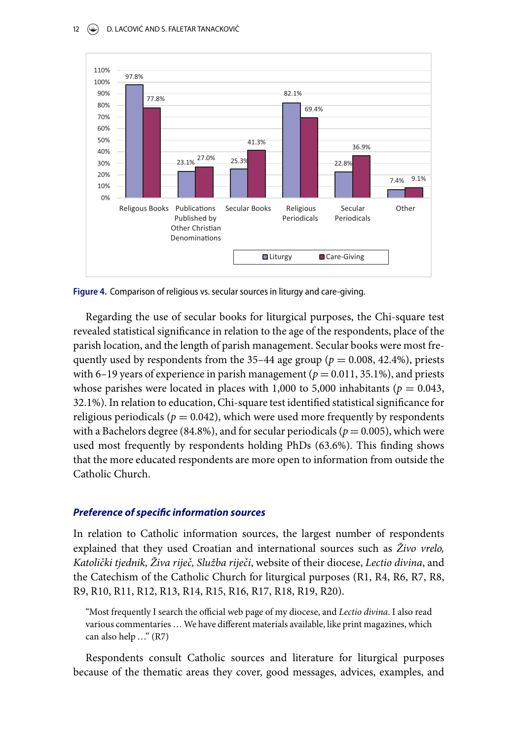<span id="page-13-0"></span>

Figure 4. Comparison of religious vs. secular sources in liturgy and care-giving.

Regarding the use of secular books for liturgical purposes, the Chi-square test revealed statistical significance in relation to the age of the respondents, place of the parish location, and the length of parish management. Secular books were most frequently used by respondents from the  $35-44$  age group ( $p = 0.008, 42.4\%$ ), priests with 6–19 years of experience in parish management ( $p = 0.011, 35.1\%$ ), and priests whose parishes were located in places with 1,000 to 5,000 inhabitants ( $p = 0.043$ , 32.1%). In relation to education, Chi-square test identified statistical significance for religious periodicals ( $p = 0.042$ ), which were used more frequently by respondents with a Bachelors degree (84.8%), and for secular periodicals ( $p = 0.005$ ), which were used most frequently by respondents holding PhDs (63.6%). This finding shows that the more educated respondents are more open to information from outside the Catholic Church.

#### *Preference of specific information sources*

In relation to Catholic information sources, the largest number of respondents explained that they used Croatian and international sources such as *Živo vrelo, Katoliˇcki tjednik, Živa rijeˇc, Služba rijeˇci*, website of their diocese, *Lectio divina*, and the Catechism of the Catholic Church for liturgical purposes (R1, R4, R6, R7, R8, R9, R10, R11, R12, R13, R14, R15, R16, R17, R18, R19, R20).

"Most frequently I search the official web page of my diocese, and *Lectio divina*. I also read various commentaries … We have different materials available, like print magazines, which can also help …" (R7)

Respondents consult Catholic sources and literature for liturgical purposes because of the thematic areas they cover, good messages, advices, examples, and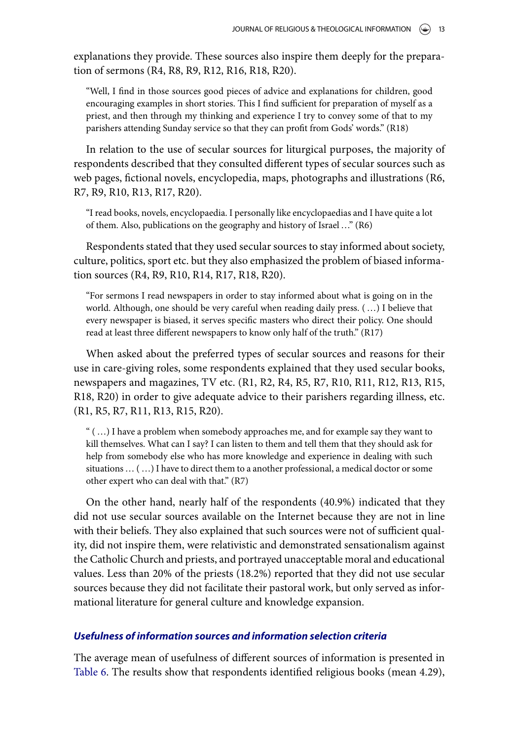explanations they provide. These sources also inspire them deeply for the preparation of sermons (R4, R8, R9, R12, R16, R18, R20).

"Well, I find in those sources good pieces of advice and explanations for children, good encouraging examples in short stories. This I find sufficient for preparation of myself as a priest, and then through my thinking and experience I try to convey some of that to my parishers attending Sunday service so that they can profit from Gods' words." (R18)

In relation to the use of secular sources for liturgical purposes, the majority of respondents described that they consulted different types of secular sources such as web pages, fictional novels, encyclopedia, maps, photographs and illustrations (R6, R7, R9, R10, R13, R17, R20).

"I read books, novels, encyclopaedia. I personally like encyclopaedias and I have quite a lot of them. Also, publications on the geography and history of Israel …" (R6)

Respondents stated that they used secular sources to stay informed about society, culture, politics, sport etc. but they also emphasized the problem of biased information sources (R4, R9, R10, R14, R17, R18, R20).

"For sermons I read newspapers in order to stay informed about what is going on in the world. Although, one should be very careful when reading daily press. ( …) I believe that every newspaper is biased, it serves specific masters who direct their policy. One should read at least three different newspapers to know only half of the truth." (R17)

When asked about the preferred types of secular sources and reasons for their use in care-giving roles, some respondents explained that they used secular books, newspapers and magazines, TV etc. (R1, R2, R4, R5, R7, R10, R11, R12, R13, R15, R18, R20) in order to give adequate advice to their parishers regarding illness, etc. (R1, R5, R7, R11, R13, R15, R20).

" ( …) I have a problem when somebody approaches me, and for example say they want to kill themselves. What can I say? I can listen to them and tell them that they should ask for help from somebody else who has more knowledge and experience in dealing with such situations … ( …) I have to direct them to a another professional, a medical doctor or some other expert who can deal with that." (R7)

On the other hand, nearly half of the respondents (40.9%) indicated that they did not use secular sources available on the Internet because they are not in line with their beliefs. They also explained that such sources were not of sufficient quality, did not inspire them, were relativistic and demonstrated sensationalism against the Catholic Church and priests, and portrayed unacceptable moral and educational values. Less than 20% of the priests (18.2%) reported that they did not use secular sources because they did not facilitate their pastoral work, but only served as informational literature for general culture and knowledge expansion.

## *Usefulness of information sources and information selection criteria*

The average mean of usefulness of different sources of information is presented in [Table 6.](#page-15-0) The results show that respondents identified religious books (mean 4.29),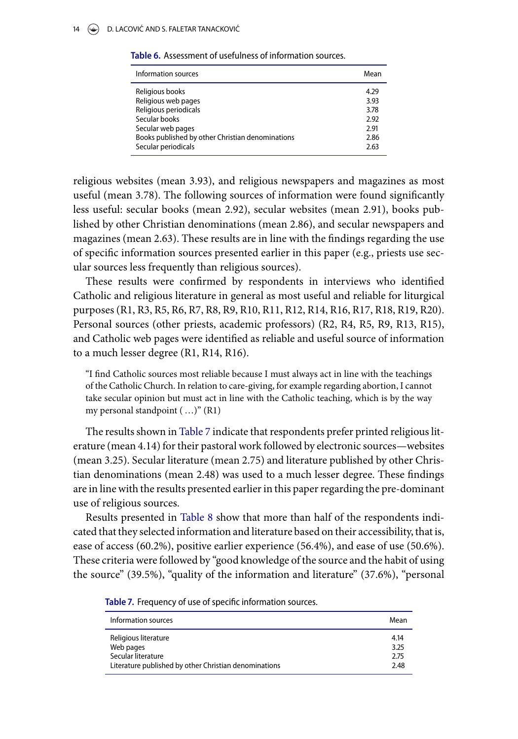#### <span id="page-15-0"></span>(←) D. LACOVIĆ AND S. FALETAR TANACKOVIĆ

| Information sources                              | Mean |
|--------------------------------------------------|------|
| Religious books                                  | 4.29 |
| Religious web pages                              | 3.93 |
| Religious periodicals                            | 3.78 |
| Secular books                                    | 2.92 |
| Secular web pages                                | 2.91 |
| Books published by other Christian denominations | 2.86 |
| Secular periodicals                              | 2.63 |

**Table 6.** Assessment of usefulness of information sources.

religious websites (mean 3.93), and religious newspapers and magazines as most useful (mean 3.78). The following sources of information were found significantly less useful: secular books (mean 2.92), secular websites (mean 2.91), books published by other Christian denominations (mean 2.86), and secular newspapers and magazines (mean 2.63). These results are in line with the findings regarding the use of specific information sources presented earlier in this paper (e.g., priests use secular sources less frequently than religious sources).

These results were confirmed by respondents in interviews who identified Catholic and religious literature in general as most useful and reliable for liturgical purposes (R1, R3, R5, R6, R7, R8, R9, R10, R11, R12, R14, R16, R17, R18, R19, R20). Personal sources (other priests, academic professors) (R2, R4, R5, R9, R13, R15), and Catholic web pages were identified as reliable and useful source of information to a much lesser degree (R1, R14, R16).

"I find Catholic sources most reliable because I must always act in line with the teachings of the Catholic Church. In relation to care-giving, for example regarding abortion, I cannot take secular opinion but must act in line with the Catholic teaching, which is by the way my personal standpoint ( …)" (R1)

The results shown in [Table 7](#page-15-1) indicate that respondents prefer printed religious literature (mean 4.14) for their pastoral work followed by electronic sources—websites (mean 3.25). Secular literature (mean 2.75) and literature published by other Christian denominations (mean 2.48) was used to a much lesser degree. These findings are in line with the results presented earlier in this paper regarding the pre-dominant use of religious sources.

Results presented in [Table 8](#page-16-0) show that more than half of the respondents indicated that they selected information and literature based on their accessibility, that is, ease of access (60.2%), positive earlier experience (56.4%), and ease of use (50.6%). These criteria were followed by "good knowledge of the source and the habit of using the source" (39.5%), "quality of the information and literature" (37.6%), "personal

<span id="page-15-1"></span>Table 7. Frequency of use of specific information sources.

| Information sources                                   | Mean |
|-------------------------------------------------------|------|
| Religious literature                                  | 4.14 |
| Web pages                                             | 3.25 |
| Secular literature                                    | 2.75 |
| Literature published by other Christian denominations | 2.48 |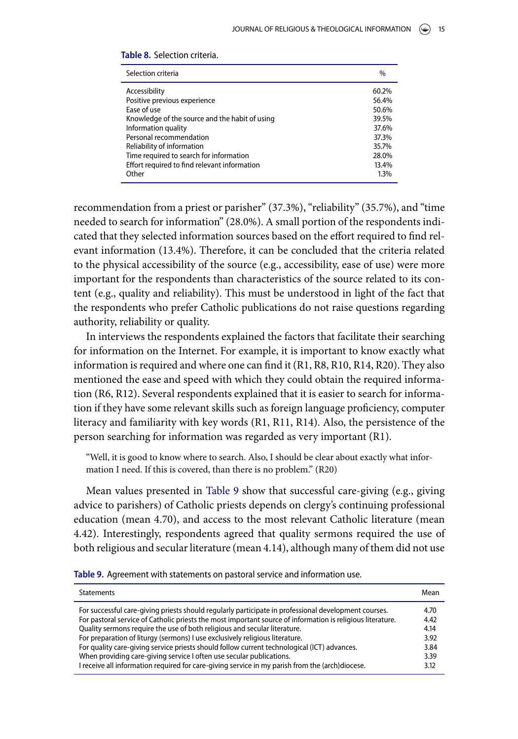| Selection criteria                             | $\frac{0}{0}$ |
|------------------------------------------------|---------------|
| Accessibility                                  | 60.2%         |
| Positive previous experience                   | 56.4%         |
| Ease of use                                    | 50.6%         |
| Knowledge of the source and the habit of using | 39.5%         |
| Information quality                            | 37.6%         |
| Personal recommendation                        | 37.3%         |
| Reliability of information                     | 35.7%         |
| Time required to search for information        | 28.0%         |
| Effort required to find relevant information   | 13.4%         |
| Other                                          | 1.3%          |

<span id="page-16-0"></span>**Table 8. Selection criteria.** 

recommendation from a priest or parisher" (37.3%), "reliability" (35.7%), and "time needed to search for information" (28.0%). A small portion of the respondents indicated that they selected information sources based on the effort required to find relevant information (13.4%). Therefore, it can be concluded that the criteria related to the physical accessibility of the source (e.g., accessibility, ease of use) were more important for the respondents than characteristics of the source related to its content (e.g., quality and reliability). This must be understood in light of the fact that the respondents who prefer Catholic publications do not raise questions regarding authority, reliability or quality.

In interviews the respondents explained the factors that facilitate their searching for information on the Internet. For example, it is important to know exactly what information is required and where one can find it (R1, R8, R10, R14, R20). They also mentioned the ease and speed with which they could obtain the required information (R6, R12). Several respondents explained that it is easier to search for information if they have some relevant skills such as foreign language proficiency, computer literacy and familiarity with key words (R1, R11, R14). Also, the persistence of the person searching for information was regarded as very important (R1).

"Well, it is good to know where to search. Also, I should be clear about exactly what information I need. If this is covered, than there is no problem." (R20)

Mean values presented in [Table 9](#page-16-1) show that successful care-giving (e.g., giving advice to parishers) of Catholic priests depends on clergy's continuing professional education (mean 4.70), and access to the most relevant Catholic literature (mean 4.42). Interestingly, respondents agreed that quality sermons required the use of both religious and secular literature (mean 4.14), although many of them did not use

| Statements                                                                                                 | Mean |
|------------------------------------------------------------------------------------------------------------|------|
| For successful care-giving priests should regularly participate in professional development courses.       | 4.70 |
| For pastoral service of Catholic priests the most important source of information is religious literature. | 4.42 |
| Quality sermons require the use of both religious and secular literature.                                  | 4.14 |
| For preparation of liturgy (sermons) I use exclusively religious literature.                               | 3.92 |
| For quality care-giving service priests should follow current technological (ICT) advances.                | 3.84 |
| When providing care-giving service I often use secular publications.                                       | 3.39 |
| I receive all information required for care-giving service in my parish from the (arch)diocese.            | 3.12 |

<span id="page-16-1"></span>Table 9. Agreement with statements on pastoral service and information use.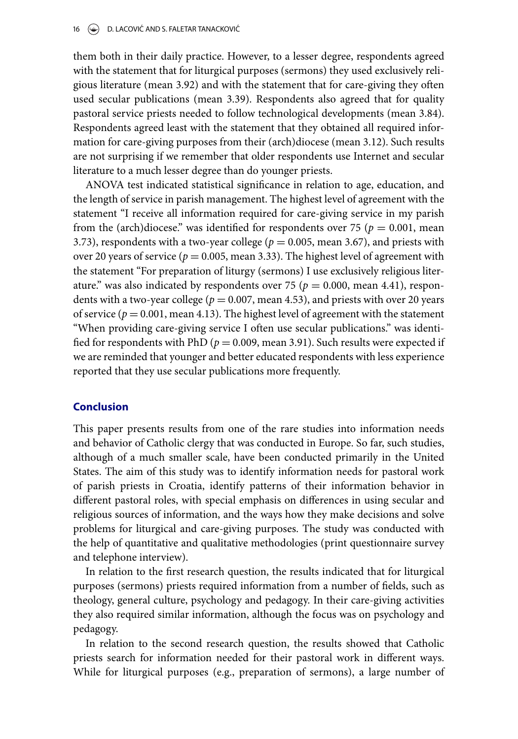them both in their daily practice. However, to a lesser degree, respondents agreed with the statement that for liturgical purposes (sermons) they used exclusively religious literature (mean 3.92) and with the statement that for care-giving they often used secular publications (mean 3.39). Respondents also agreed that for quality pastoral service priests needed to follow technological developments (mean 3.84). Respondents agreed least with the statement that they obtained all required information for care-giving purposes from their (arch)diocese (mean 3.12). Such results are not surprising if we remember that older respondents use Internet and secular literature to a much lesser degree than do younger priests.

ANOVA test indicated statistical significance in relation to age, education, and the length of service in parish management. The highest level of agreement with the statement "I receive all information required for care-giving service in my parish from the (arch)diocese." was identified for respondents over 75 ( $p = 0.001$ , mean 3.73), respondents with a two-year college ( $p = 0.005$ , mean 3.67), and priests with over 20 years of service ( $p = 0.005$ , mean 3.33). The highest level of agreement with the statement "For preparation of liturgy (sermons) I use exclusively religious literature." was also indicated by respondents over 75 ( $p = 0.000$ , mean 4.41), respondents with a two-year college ( $p = 0.007$ , mean 4.53), and priests with over 20 years of service ( $p = 0.001$ , mean 4.13). The highest level of agreement with the statement "When providing care-giving service I often use secular publications." was identified for respondents with PhD ( $p = 0.009$ , mean 3.91). Such results were expected if we are reminded that younger and better educated respondents with less experience reported that they use secular publications more frequently.

## **Conclusion**

This paper presents results from one of the rare studies into information needs and behavior of Catholic clergy that was conducted in Europe. So far, such studies, although of a much smaller scale, have been conducted primarily in the United States. The aim of this study was to identify information needs for pastoral work of parish priests in Croatia, identify patterns of their information behavior in different pastoral roles, with special emphasis on differences in using secular and religious sources of information, and the ways how they make decisions and solve problems for liturgical and care-giving purposes. The study was conducted with the help of quantitative and qualitative methodologies (print questionnaire survey and telephone interview).

In relation to the first research question, the results indicated that for liturgical purposes (sermons) priests required information from a number of fields, such as theology, general culture, psychology and pedagogy. In their care-giving activities they also required similar information, although the focus was on psychology and pedagogy.

In relation to the second research question, the results showed that Catholic priests search for information needed for their pastoral work in different ways. While for liturgical purposes (e.g., preparation of sermons), a large number of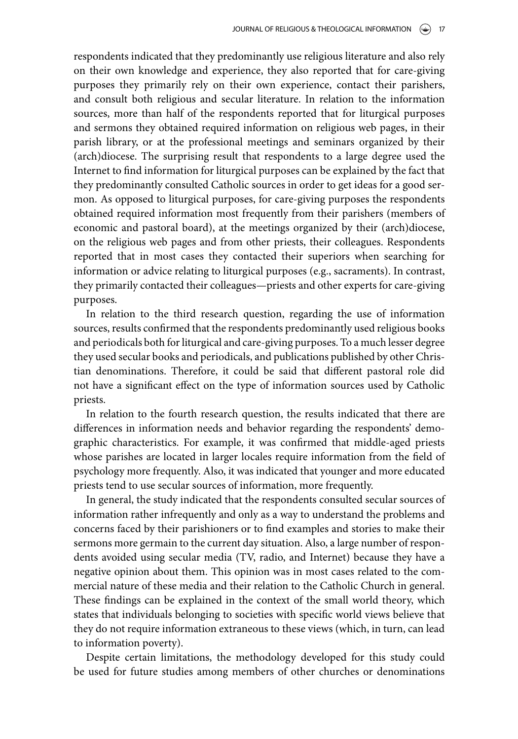respondents indicated that they predominantly use religious literature and also rely on their own knowledge and experience, they also reported that for care-giving purposes they primarily rely on their own experience, contact their parishers, and consult both religious and secular literature. In relation to the information sources, more than half of the respondents reported that for liturgical purposes and sermons they obtained required information on religious web pages, in their parish library, or at the professional meetings and seminars organized by their (arch)diocese. The surprising result that respondents to a large degree used the Internet to find information for liturgical purposes can be explained by the fact that they predominantly consulted Catholic sources in order to get ideas for a good sermon. As opposed to liturgical purposes, for care-giving purposes the respondents obtained required information most frequently from their parishers (members of economic and pastoral board), at the meetings organized by their (arch)diocese, on the religious web pages and from other priests, their colleagues. Respondents reported that in most cases they contacted their superiors when searching for information or advice relating to liturgical purposes (e.g., sacraments). In contrast, they primarily contacted their colleagues—priests and other experts for care-giving purposes.

In relation to the third research question, regarding the use of information sources, results confirmed that the respondents predominantly used religious books and periodicals both for liturgical and care-giving purposes. To a much lesser degree they used secular books and periodicals, and publications published by other Christian denominations. Therefore, it could be said that different pastoral role did not have a significant effect on the type of information sources used by Catholic priests.

In relation to the fourth research question, the results indicated that there are differences in information needs and behavior regarding the respondents' demographic characteristics. For example, it was confirmed that middle-aged priests whose parishes are located in larger locales require information from the field of psychology more frequently. Also, it was indicated that younger and more educated priests tend to use secular sources of information, more frequently.

In general, the study indicated that the respondents consulted secular sources of information rather infrequently and only as a way to understand the problems and concerns faced by their parishioners or to find examples and stories to make their sermons more germain to the current day situation. Also, a large number of respondents avoided using secular media (TV, radio, and Internet) because they have a negative opinion about them. This opinion was in most cases related to the commercial nature of these media and their relation to the Catholic Church in general. These findings can be explained in the context of the small world theory, which states that individuals belonging to societies with specific world views believe that they do not require information extraneous to these views (which, in turn, can lead to information poverty).

Despite certain limitations, the methodology developed for this study could be used for future studies among members of other churches or denominations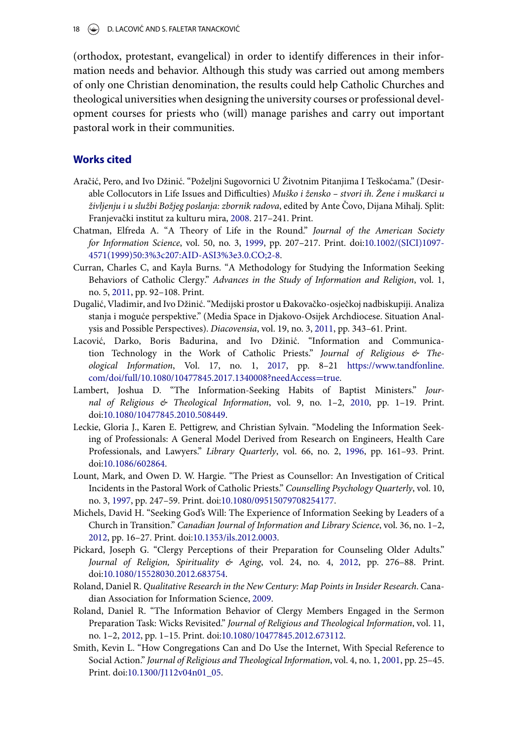(orthodox, protestant, evangelical) in order to identify differences in their information needs and behavior. Although this study was carried out among members of only one Christian denomination, the results could help Catholic Churches and theological universities when designing the university courses or professional development courses for priests who (will) manage parishes and carry out important pastoral work in their communities.

#### **Works cited**

- Aračić, Pero, and Ivo Džinić. "Poželjni Sugovornici U Životnim Pitanjima I Teškoćama." (Desirable Collocutors in Life Issues and Difficulties) *Muško i žensko – stvori ih. Žene i muškarci u življenju i u službi Božjeg poslanja: zbornik radova*, edited by Ante Covo, Dijana Mihalj. Split: ˇ Franjevački institut za kulturu mira, 2008. 217-241. Print.
- <span id="page-19-0"></span>Chatman, Elfreda A. "A Theory of Life in the Round." *Journal of the American Society for Information Science*, vol. 50, no. 3, [1999](#page-4-0)[, pp. 207–217. Print. doi:10.1002/\(SICI\)1097-](https://doi.org/10.1002/(SICI)1097-4571(1999)50:3%3c207:AID-ASI3%3e3.0.CO;2-8) 4571(1999)50:3%3c207:AID-ASI3%3e3.0.CO;2-8.
- Curran, Charles C, and Kayla Burns. "A Methodology for Studying the Information Seeking Behaviors of Catholic Clergy." *Advances in the Study of Information and Religion*, vol. 1, no. 5, 2011, pp. 92–108. Print.
- Dugalić, Vladimir, and Ivo Džinić. "Medijski prostor u Đakovačko-osječkoj nadbiskupiji. Analiza stanja i moguće perspektive." (Media Space in Djakovo-Osijek Archdiocese. Situation Analysis and Possible Perspectives). *Diacovensia*, vol. 19, no. 3, 2011, pp. 343–61. Print.
- Lacović, Darko, Boris Badurina, and Ivo Džinić. "Information and Communication Technology in the Work of Catholic Priests." *Journal of Religious & Theological Information*, Vol. 17, no. 1, 2017, pp. 8–21 https://www.tandfonline. [com/doi/full/10.1080/10477845.2017.1340008?needAccess](https://www.tandfonline.com/doi/full/10.1080/10477845.2017.1340008?needAccess=true)=true.
- Lambert, Joshua D. "The Information-Seeking Habits of Baptist Ministers." *Journal of Religious & Theological Information*, vol. 9, no. 1–2, 2010, pp. 1–19. Print. doi[:10.1080/10477845.2010.508449.](https://doi.org/10.1080/10477845.2010.508449)
- Leckie, Gloria J., Karen E. Pettigrew, and Christian Sylvain. "Modeling the Information Seeking of Professionals: A General Model Derived from Research on Engineers, Health Care Professionals, and Lawyers." *Library Quarterly*, vol. 66, no. 2, 1996, pp. 161–93. Print. doi[:10.1086/602864.](https://doi.org/10.1086/602864)
- Lount, Mark, and Owen D. W. Hargie. "The Priest as Counsellor: An Investigation of Critical Incidents in the Pastoral Work of Catholic Priests." *Counselling Psychology Quarterly*, vol. 10, no. 3, 1997, pp. 247–59. Print. doi[:10.1080/09515079708254177.](https://doi.org/10.1080/09515079708254177)
- Michels, David H. "Seeking God's Will: The Experience of Information Seeking by Leaders of a Church in Transition." *Canadian Journal of Information and Library Science*, vol. 36, no. 1–2, 2012, pp. 16–27. Print. doi[:10.1353/ils.2012.0003.](https://doi.org/10.1353/ils.2012.0003)
- Pickard, Joseph G. "Clergy Perceptions of their Preparation for Counseling Older Adults." *Journal of Religion, Spirituality & Aging*, vol. 24, no. 4, 2012, pp. 276–88. Print. doi[:10.1080/15528030.2012.683754.](https://doi.org/10.1080/15528030.2012.683754)
- Roland, Daniel R. *Qualitative Research in the New Century: Map Points in Insider Research*. Canadian Association for Information Science, 2009.
- Roland, Daniel R. "The Information Behavior of Clergy Members Engaged in the Sermon Preparation Task: Wicks Revisited." *Journal of Religious and Theological Information*, vol. 11, no. 1–2, 2012, pp. 1–15. Print. doi[:10.1080/10477845.2012.673112.](https://doi.org/10.1080/10477845.2012.673112)
- Smith, Kevin L. "How Congregations Can and Do Use the Internet, With Special Reference to Social Action." *Journal of Religious and Theological Information*, vol. 4, no. 1, 2001, pp. 25–45. Print. doi[:10.1300/J112v04n01\\_05.](https://doi.org/10.1300/J112v04n01_05)